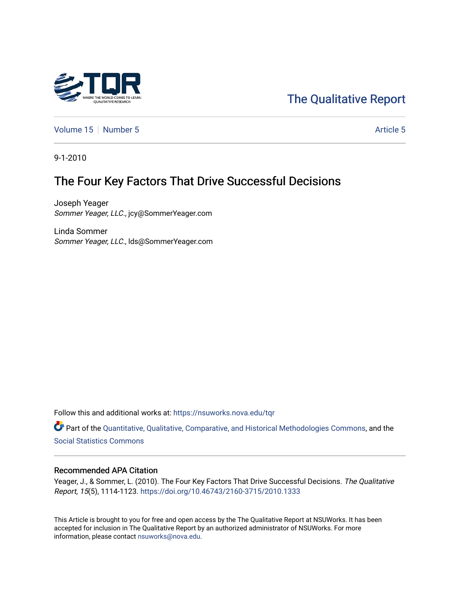

# [The Qualitative Report](https://nsuworks.nova.edu/tqr)

[Volume 15](https://nsuworks.nova.edu/tqr/vol15) [Number 5](https://nsuworks.nova.edu/tqr/vol15/iss5) Article 5

9-1-2010

# The Four Key Factors That Drive Successful Decisions

Joseph Yeager Sommer Yeager, LLC., jcy@SommerYeager.com

Linda Sommer Sommer Yeager, LLC., lds@SommerYeager.com

Follow this and additional works at: [https://nsuworks.nova.edu/tqr](https://nsuworks.nova.edu/tqr?utm_source=nsuworks.nova.edu%2Ftqr%2Fvol15%2Fiss5%2F5&utm_medium=PDF&utm_campaign=PDFCoverPages) 

Part of the [Quantitative, Qualitative, Comparative, and Historical Methodologies Commons,](http://network.bepress.com/hgg/discipline/423?utm_source=nsuworks.nova.edu%2Ftqr%2Fvol15%2Fiss5%2F5&utm_medium=PDF&utm_campaign=PDFCoverPages) and the [Social Statistics Commons](http://network.bepress.com/hgg/discipline/1275?utm_source=nsuworks.nova.edu%2Ftqr%2Fvol15%2Fiss5%2F5&utm_medium=PDF&utm_campaign=PDFCoverPages) 

### Recommended APA Citation

Yeager, J., & Sommer, L. (2010). The Four Key Factors That Drive Successful Decisions. The Qualitative Report, 15(5), 1114-1123. <https://doi.org/10.46743/2160-3715/2010.1333>

This Article is brought to you for free and open access by the The Qualitative Report at NSUWorks. It has been accepted for inclusion in The Qualitative Report by an authorized administrator of NSUWorks. For more information, please contact [nsuworks@nova.edu.](mailto:nsuworks@nova.edu)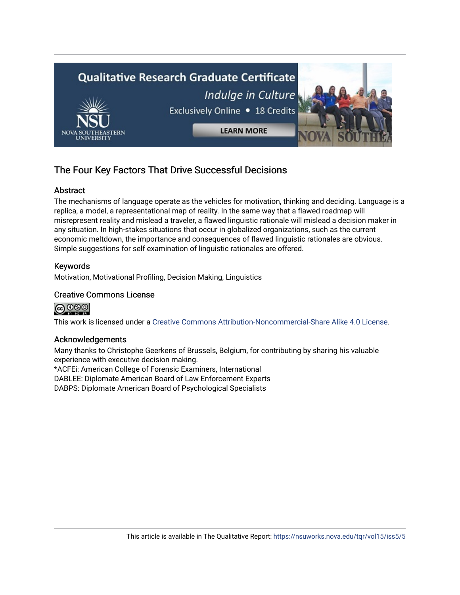

## The Four Key Factors That Drive Successful Decisions

## Abstract

The mechanisms of language operate as the vehicles for motivation, thinking and deciding. Language is a replica, a model, a representational map of reality. In the same way that a flawed roadmap will misrepresent reality and mislead a traveler, a flawed linguistic rationale will mislead a decision maker in any situation. In high-stakes situations that occur in globalized organizations, such as the current economic meltdown, the importance and consequences of flawed linguistic rationales are obvious. Simple suggestions for self examination of linguistic rationales are offered.

## Keywords

Motivation, Motivational Profiling, Decision Making, Linguistics

## Creative Commons License



This work is licensed under a [Creative Commons Attribution-Noncommercial-Share Alike 4.0 License](https://creativecommons.org/licenses/by-nc-sa/4.0/).

## Acknowledgements

Many thanks to Christophe Geerkens of Brussels, Belgium, for contributing by sharing his valuable experience with executive decision making.

\*ACFEi: American College of Forensic Examiners, International

DABLEE: Diplomate American Board of Law Enforcement Experts

DABPS: Diplomate American Board of Psychological Specialists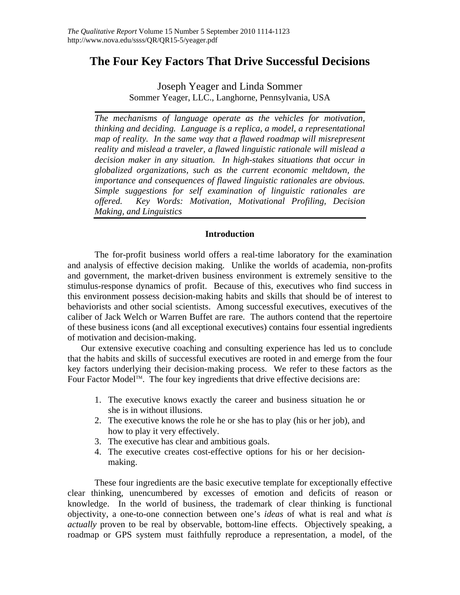## **The Four Key Factors That Drive Successful Decisions**

Joseph Yeager and Linda Sommer Sommer Yeager, LLC., Langhorne, Pennsylvania, USA

*The mechanisms of language operate as the vehicles for motivation, thinking and deciding. Language is a replica, a model, a representational map of reality. In the same way that a flawed roadmap will misrepresent reality and mislead a traveler, a flawed linguistic rationale will mislead a decision maker in any situation. In high-stakes situations that occur in globalized organizations, such as the current economic meltdown, the importance and consequences of flawed linguistic rationales are obvious. Simple suggestions for self examination of linguistic rationales are offered. Key Words: Motivation, Motivational Profiling, Decision Making, and Linguistics* 

## **Introduction**

The for-profit business world offers a real-time laboratory for the examination and analysis of effective decision making. Unlike the worlds of academia, non-profits and government, the market-driven business environment is extremely sensitive to the stimulus-response dynamics of profit. Because of this, executives who find success in this environment possess decision-making habits and skills that should be of interest to behaviorists and other social scientists. Among successful executives, executives of the caliber of Jack Welch or Warren Buffet are rare. The authors contend that the repertoire of these business icons (and all exceptional executives) contains four essential ingredients of motivation and decision-making.

Our extensive executive coaching and consulting experience has led us to conclude that the habits and skills of successful executives are rooted in and emerge from the four key factors underlying their decision-making process. We refer to these factors as the Four Factor Model<sup>™</sup>. The four key ingredients that drive effective decisions are:

- 1. The executive knows exactly the career and business situation he or she is in without illusions.
- 2. The executive knows the role he or she has to play (his or her job), and how to play it very effectively.
- 3. The executive has clear and ambitious goals.
- 4. The executive creates cost-effective options for his or her decisionmaking.

These four ingredients are the basic executive template for exceptionally effective clear thinking, unencumbered by excesses of emotion and deficits of reason or knowledge. In the world of business, the trademark of clear thinking is functional objectivity, a one-to-one connection between one's *ideas* of what is real and what *is actually* proven to be real by observable, bottom-line effects. Objectively speaking, a roadmap or GPS system must faithfully reproduce a representation, a model, of the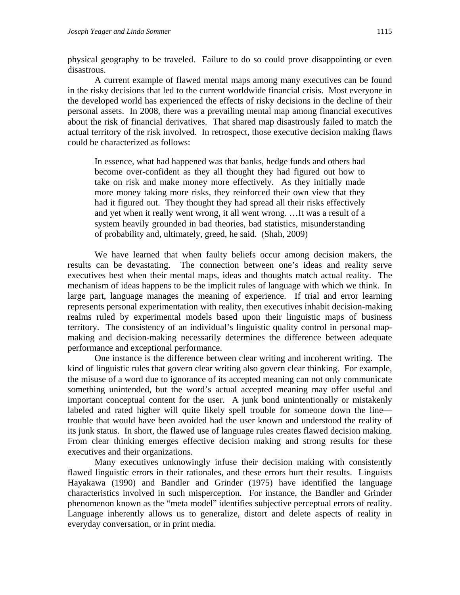physical geography to be traveled. Failure to do so could prove disappointing or even disastrous.

A current example of flawed mental maps among many executives can be found in the risky decisions that led to the current worldwide financial crisis. Most everyone in the developed world has experienced the effects of risky decisions in the decline of their personal assets. In 2008, there was a prevailing mental map among financial executives about the risk of financial derivatives. That shared map disastrously failed to match the actual territory of the risk involved. In retrospect, those executive decision making flaws could be characterized as follows:

In essence, what had happened was that banks, hedge funds and others had become over-confident as they all thought they had figured out how to take on risk and make money more effectively. As they initially made more money taking more risks, they reinforced their own view that they had it figured out. They thought they had spread all their risks effectively and yet when it really went wrong, it all went wrong. …It was a result of a system heavily grounded in bad theories, bad statistics, misunderstanding of probability and, ultimately, greed, he said. (Shah, 2009)

We have learned that when faulty beliefs occur among decision makers, the results can be devastating. The connection between one's ideas and reality serve executives best when their mental maps, ideas and thoughts match actual reality. The mechanism of ideas happens to be the implicit rules of language with which we think. In large part, language manages the meaning of experience. If trial and error learning represents personal experimentation with reality, then executives inhabit decision-making realms ruled by experimental models based upon their linguistic maps of business territory. The consistency of an individual's linguistic quality control in personal mapmaking and decision-making necessarily determines the difference between adequate performance and exceptional performance.

One instance is the difference between clear writing and incoherent writing. The kind of linguistic rules that govern clear writing also govern clear thinking. For example, the misuse of a word due to ignorance of its accepted meaning can not only communicate something unintended, but the word's actual accepted meaning may offer useful and important conceptual content for the user. A junk bond unintentionally or mistakenly labeled and rated higher will quite likely spell trouble for someone down the line trouble that would have been avoided had the user known and understood the reality of its junk status. In short, the flawed use of language rules creates flawed decision making. From clear thinking emerges effective decision making and strong results for these executives and their organizations.

Many executives unknowingly infuse their decision making with consistently flawed linguistic errors in their rationales, and these errors hurt their results. Linguists Hayakawa (1990) and Bandler and Grinder (1975) have identified the language characteristics involved in such misperception. For instance, the Bandler and Grinder phenomenon known as the "meta model" identifies subjective perceptual errors of reality. Language inherently allows us to generalize, distort and delete aspects of reality in everyday conversation, or in print media.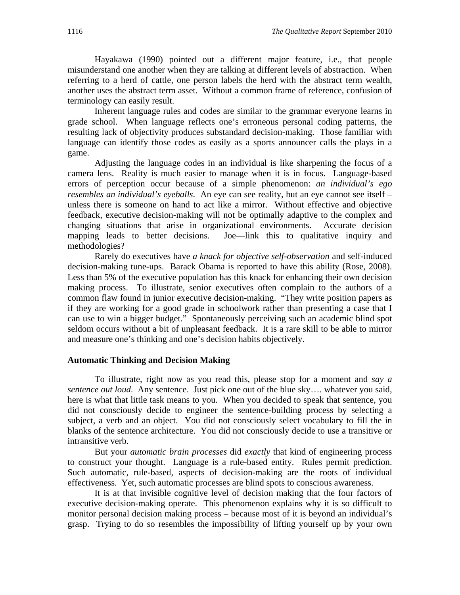Hayakawa (1990) pointed out a different major feature, i.e., that people misunderstand one another when they are talking at different levels of abstraction. When referring to a herd of cattle, one person labels the herd with the abstract term wealth, another uses the abstract term asset. Without a common frame of reference, confusion of terminology can easily result.

Inherent language rules and codes are similar to the grammar everyone learns in grade school. When language reflects one's erroneous personal coding patterns, the resulting lack of objectivity produces substandard decision-making. Those familiar with language can identify those codes as easily as a sports announcer calls the plays in a game.

Adjusting the language codes in an individual is like sharpening the focus of a camera lens. Reality is much easier to manage when it is in focus. Language-based errors of perception occur because of a simple phenomenon: *an individual's ego resembles an individual's eyeballs*. An eye can see reality, but an eye cannot see itself – unless there is someone on hand to act like a mirror. Without effective and objective feedback, executive decision-making will not be optimally adaptive to the complex and changing situations that arise in organizational environments. Accurate decision mapping leads to better decisions. Joe—link this to qualitative inquiry and methodologies?

Rarely do executives have *a knack for objective self-observation* and self-induced decision-making tune-ups. Barack Obama is reported to have this ability (Rose, 2008). Less than 5% of the executive population has this knack for enhancing their own decision making process. To illustrate, senior executives often complain to the authors of a common flaw found in junior executive decision-making. "They write position papers as if they are working for a good grade in schoolwork rather than presenting a case that I can use to win a bigger budget." Spontaneously perceiving such an academic blind spot seldom occurs without a bit of unpleasant feedback. It is a rare skill to be able to mirror and measure one's thinking and one's decision habits objectively.

#### **Automatic Thinking and Decision Making**

To illustrate, right now as you read this, please stop for a moment and *say a sentence out loud*. Any sentence. Just pick one out of the blue sky…. whatever you said, here is what that little task means to you. When you decided to speak that sentence, you did not consciously decide to engineer the sentence-building process by selecting a subject, a verb and an object. You did not consciously select vocabulary to fill the in blanks of the sentence architecture. You did not consciously decide to use a transitive or intransitive verb.

But your *automatic brain processes* did *exactly* that kind of engineering process to construct your thought. Language is a rule-based entity. Rules permit prediction. Such automatic, rule-based, aspects of decision-making are the roots of individual effectiveness. Yet, such automatic processes are blind spots to conscious awareness.

It is at that invisible cognitive level of decision making that the four factors of executive decision-making operate. This phenomenon explains why it is so difficult to monitor personal decision making process – because most of it is beyond an individual's grasp. Trying to do so resembles the impossibility of lifting yourself up by your own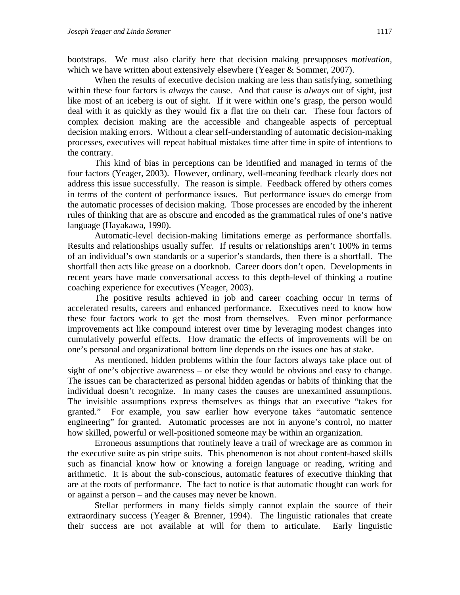bootstraps. We must also clarify here that decision making presupposes *motivation*, which we have written about extensively elsewhere (Yeager & Sommer, 2007).

When the results of executive decision making are less than satisfying, something within these four factors is *always* the cause. And that cause is *always* out of sight, just like most of an iceberg is out of sight. If it were within one's grasp, the person would deal with it as quickly as they would fix a flat tire on their car. These four factors of complex decision making are the accessible and changeable aspects of perceptual decision making errors. Without a clear self-understanding of automatic decision-making processes, executives will repeat habitual mistakes time after time in spite of intentions to the contrary.

This kind of bias in perceptions can be identified and managed in terms of the four factors (Yeager, 2003). However, ordinary, well-meaning feedback clearly does not address this issue successfully. The reason is simple. Feedback offered by others comes in terms of the content of performance issues. But performance issues do emerge from the automatic processes of decision making. Those processes are encoded by the inherent rules of thinking that are as obscure and encoded as the grammatical rules of one's native language (Hayakawa, 1990).

Automatic-level decision-making limitations emerge as performance shortfalls. Results and relationships usually suffer. If results or relationships aren't 100% in terms of an individual's own standards or a superior's standards, then there is a shortfall. The shortfall then acts like grease on a doorknob. Career doors don't open. Developments in recent years have made conversational access to this depth-level of thinking a routine coaching experience for executives (Yeager, 2003).

The positive results achieved in job and career coaching occur in terms of accelerated results, careers and enhanced performance. Executives need to know how these four factors work to get the most from themselves. Even minor performance improvements act like compound interest over time by leveraging modest changes into cumulatively powerful effects. How dramatic the effects of improvements will be on one's personal and organizational bottom line depends on the issues one has at stake.

As mentioned, hidden problems within the four factors always take place out of sight of one's objective awareness – or else they would be obvious and easy to change. The issues can be characterized as personal hidden agendas or habits of thinking that the individual doesn't recognize. In many cases the causes are unexamined assumptions. The invisible assumptions express themselves as things that an executive "takes for granted." For example, you saw earlier how everyone takes "automatic sentence engineering" for granted. Automatic processes are not in anyone's control, no matter how skilled, powerful or well-positioned someone may be within an organization.

Erroneous assumptions that routinely leave a trail of wreckage are as common in the executive suite as pin stripe suits. This phenomenon is not about content-based skills such as financial know how or knowing a foreign language or reading, writing and arithmetic. It is about the sub-conscious, automatic features of executive thinking that are at the roots of performance. The fact to notice is that automatic thought can work for or against a person – and the causes may never be known.

Stellar performers in many fields simply cannot explain the source of their extraordinary success (Yeager & Brenner, 1994). The linguistic rationales that create their success are not available at will for them to articulate. Early linguistic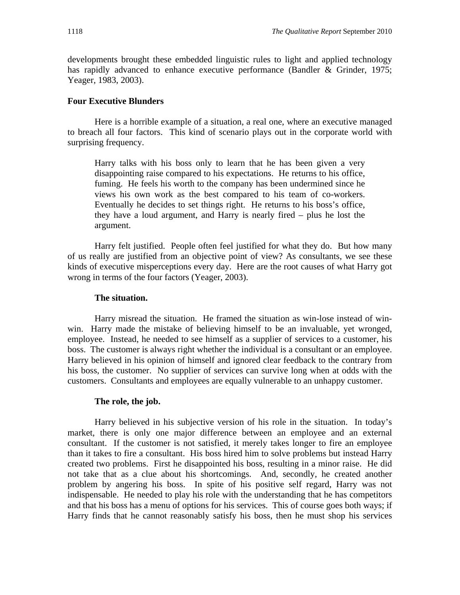developments brought these embedded linguistic rules to light and applied technology has rapidly advanced to enhance executive performance (Bandler & Grinder, 1975; Yeager, 1983, 2003).

#### **Four Executive Blunders**

Here is a horrible example of a situation, a real one, where an executive managed to breach all four factors. This kind of scenario plays out in the corporate world with surprising frequency.

Harry talks with his boss only to learn that he has been given a very disappointing raise compared to his expectations. He returns to his office, fuming. He feels his worth to the company has been undermined since he views his own work as the best compared to his team of co-workers. Eventually he decides to set things right. He returns to his boss's office, they have a loud argument, and Harry is nearly fired – plus he lost the argument.

Harry felt justified. People often feel justified for what they do. But how many of us really are justified from an objective point of view? As consultants, we see these kinds of executive misperceptions every day. Here are the root causes of what Harry got wrong in terms of the four factors (Yeager, 2003).

## **The situation.**

Harry misread the situation. He framed the situation as win-lose instead of winwin. Harry made the mistake of believing himself to be an invaluable, yet wronged, employee. Instead, he needed to see himself as a supplier of services to a customer, his boss. The customer is always right whether the individual is a consultant or an employee. Harry believed in his opinion of himself and ignored clear feedback to the contrary from his boss, the customer. No supplier of services can survive long when at odds with the customers. Consultants and employees are equally vulnerable to an unhappy customer.

#### **The role, the job.**

Harry believed in his subjective version of his role in the situation. In today's market, there is only one major difference between an employee and an external consultant. If the customer is not satisfied, it merely takes longer to fire an employee than it takes to fire a consultant. His boss hired him to solve problems but instead Harry created two problems. First he disappointed his boss, resulting in a minor raise. He did not take that as a clue about his shortcomings. And, secondly, he created another problem by angering his boss. In spite of his positive self regard, Harry was not indispensable. He needed to play his role with the understanding that he has competitors and that his boss has a menu of options for his services. This of course goes both ways; if Harry finds that he cannot reasonably satisfy his boss, then he must shop his services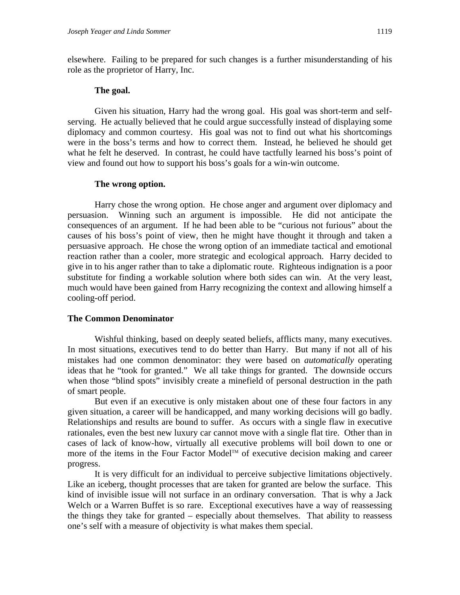elsewhere. Failing to be prepared for such changes is a further misunderstanding of his role as the proprietor of Harry, Inc.

#### **The goal.**

Given his situation, Harry had the wrong goal. His goal was short-term and selfserving. He actually believed that he could argue successfully instead of displaying some diplomacy and common courtesy. His goal was not to find out what his shortcomings were in the boss's terms and how to correct them. Instead, he believed he should get what he felt he deserved. In contrast, he could have tactfully learned his boss's point of view and found out how to support his boss's goals for a win-win outcome.

#### **The wrong option.**

Harry chose the wrong option. He chose anger and argument over diplomacy and persuasion. Winning such an argument is impossible. He did not anticipate the consequences of an argument. If he had been able to be "curious not furious" about the causes of his boss's point of view, then he might have thought it through and taken a persuasive approach. He chose the wrong option of an immediate tactical and emotional reaction rather than a cooler, more strategic and ecological approach. Harry decided to give in to his anger rather than to take a diplomatic route. Righteous indignation is a poor substitute for finding a workable solution where both sides can win. At the very least, much would have been gained from Harry recognizing the context and allowing himself a cooling-off period.

### **The Common Denominator**

Wishful thinking, based on deeply seated beliefs, afflicts many, many executives. In most situations, executives tend to do better than Harry. But many if not all of his mistakes had one common denominator: they were based on *automatically* operating ideas that he "took for granted." We all take things for granted. The downside occurs when those "blind spots" invisibly create a minefield of personal destruction in the path of smart people.

But even if an executive is only mistaken about one of these four factors in any given situation, a career will be handicapped, and many working decisions will go badly. Relationships and results are bound to suffer. As occurs with a single flaw in executive rationales, even the best new luxury car cannot move with a single flat tire. Other than in cases of lack of know-how, virtually all executive problems will boil down to one or more of the items in the Four Factor Model™ of executive decision making and career progress.

It is very difficult for an individual to perceive subjective limitations objectively. Like an iceberg, thought processes that are taken for granted are below the surface. This kind of invisible issue will not surface in an ordinary conversation. That is why a Jack Welch or a Warren Buffet is so rare. Exceptional executives have a way of reassessing the things they take for granted – especially about themselves. That ability to reassess one's self with a measure of objectivity is what makes them special.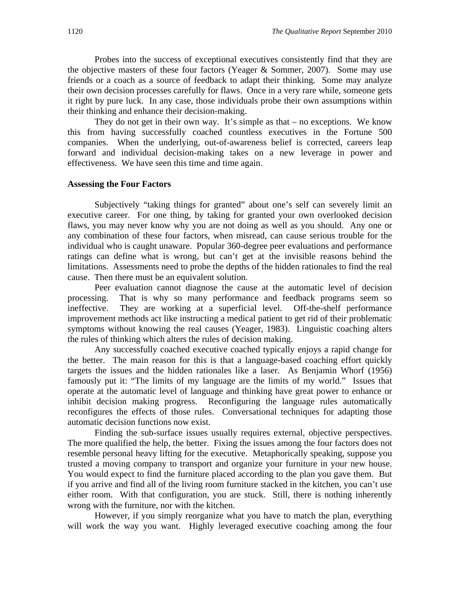Probes into the success of exceptional executives consistently find that they are the objective masters of these four factors (Yeager & Sommer, 2007). Some may use friends or a coach as a source of feedback to adapt their thinking. Some may analyze their own decision processes carefully for flaws. Once in a very rare while, someone gets it right by pure luck. In any case, those individuals probe their own assumptions within their thinking and enhance their decision-making.

They do not get in their own way. It's simple as that – no exceptions. We know this from having successfully coached countless executives in the Fortune 500 companies. When the underlying, out-of-awareness belief is corrected, careers leap forward and individual decision-making takes on a new leverage in power and effectiveness. We have seen this time and time again.

#### **Assessing the Four Factors**

Subjectively "taking things for granted" about one's self can severely limit an executive career. For one thing, by taking for granted your own overlooked decision flaws, you may never know why you are not doing as well as you should. Any one or any combination of these four factors, when misread, can cause serious trouble for the individual who is caught unaware. Popular 360-degree peer evaluations and performance ratings can define what is wrong, but can't get at the invisible reasons behind the limitations. Assessments need to probe the depths of the hidden rationales to find the real cause. Then there must be an equivalent solution.

Peer evaluation cannot diagnose the cause at the automatic level of decision processing. That is why so many performance and feedback programs seem so ineffective. They are working at a superficial level. Off-the-shelf performance improvement methods act like instructing a medical patient to get rid of their problematic symptoms without knowing the real causes (Yeager, 1983). Linguistic coaching alters the rules of thinking which alters the rules of decision making.

Any successfully coached executive coached typically enjoys a rapid change for the better. The main reason for this is that a language-based coaching effort quickly targets the issues and the hidden rationales like a laser. As Benjamin Whorf (1956) famously put it: "The limits of my language are the limits of my world." Issues that operate at the automatic level of language and thinking have great power to enhance or inhibit decision making progress. Reconfiguring the language rules automatically reconfigures the effects of those rules. Conversational techniques for adapting those automatic decision functions now exist.

Finding the sub-surface issues usually requires external, objective perspectives. The more qualified the help, the better. Fixing the issues among the four factors does not resemble personal heavy lifting for the executive. Metaphorically speaking, suppose you trusted a moving company to transport and organize your furniture in your new house. You would expect to find the furniture placed according to the plan you gave them. But if you arrive and find all of the living room furniture stacked in the kitchen, you can't use either room. With that configuration, you are stuck. Still, there is nothing inherently wrong with the furniture, nor with the kitchen.

However, if you simply reorganize what you have to match the plan, everything will work the way you want. Highly leveraged executive coaching among the four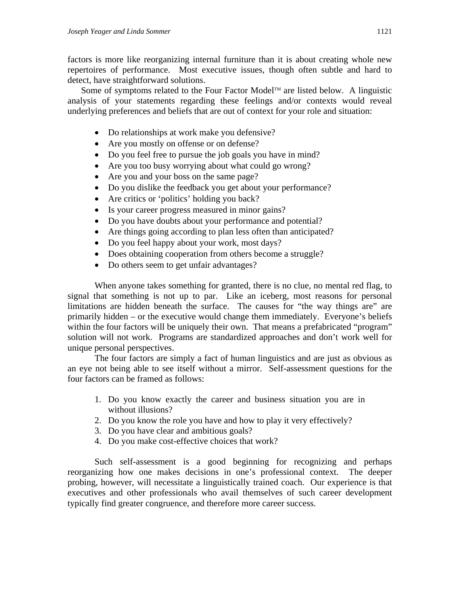factors is more like reorganizing internal furniture than it is about creating whole new repertoires of performance. Most executive issues, though often subtle and hard to detect, have straightforward solutions.

Some of symptoms related to the Four Factor Model<sup>TM</sup> are listed below. A linguistic analysis of your statements regarding these feelings and/or contexts would reveal underlying preferences and beliefs that are out of context for your role and situation:

- Do relationships at work make you defensive?
- Are you mostly on offense or on defense?
- Do you feel free to pursue the job goals you have in mind?
- Are you too busy worrying about what could go wrong?
- Are you and your boss on the same page?
- Do you dislike the feedback you get about your performance?
- Are critics or 'politics' holding you back?
- Is your career progress measured in minor gains?
- Do you have doubts about your performance and potential?
- Are things going according to plan less often than anticipated?
- Do you feel happy about your work, most days?
- Does obtaining cooperation from others become a struggle?
- Do others seem to get unfair advantages?

When anyone takes something for granted, there is no clue, no mental red flag, to signal that something is not up to par. Like an iceberg, most reasons for personal limitations are hidden beneath the surface. The causes for "the way things are" are primarily hidden – or the executive would change them immediately. Everyone's beliefs within the four factors will be uniquely their own. That means a prefabricated "program" solution will not work. Programs are standardized approaches and don't work well for unique personal perspectives.

The four factors are simply a fact of human linguistics and are just as obvious as an eye not being able to see itself without a mirror. Self-assessment questions for the four factors can be framed as follows:

- 1. Do you know exactly the career and business situation you are in without illusions?
- 2. Do you know the role you have and how to play it very effectively?
- 3. Do you have clear and ambitious goals?
- 4. Do you make cost-effective choices that work?

Such self-assessment is a good beginning for recognizing and perhaps reorganizing how one makes decisions in one's professional context. The deeper probing, however, will necessitate a linguistically trained coach. Our experience is that executives and other professionals who avail themselves of such career development typically find greater congruence, and therefore more career success.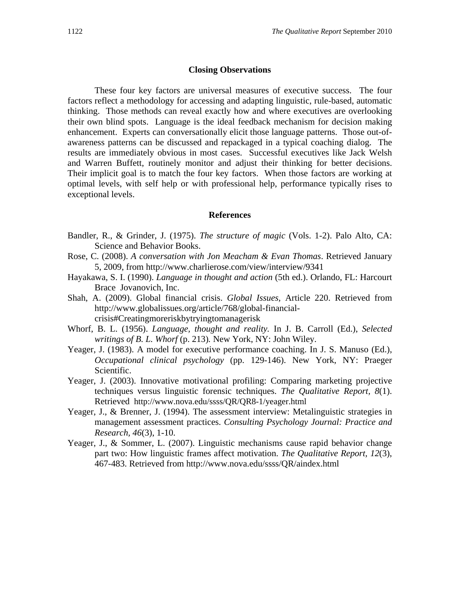#### **Closing Observations**

These four key factors are universal measures of executive success. The four factors reflect a methodology for accessing and adapting linguistic, rule-based, automatic thinking. Those methods can reveal exactly how and where executives are overlooking their own blind spots. Language is the ideal feedback mechanism for decision making enhancement. Experts can conversationally elicit those language patterns. Those out-ofawareness patterns can be discussed and repackaged in a typical coaching dialog. The results are immediately obvious in most cases. Successful executives like Jack Welsh and Warren Buffett, routinely monitor and adjust their thinking for better decisions. Their implicit goal is to match the four key factors. When those factors are working at optimal levels, with self help or with professional help, performance typically rises to exceptional levels.

#### **References**

- Bandler, R., & Grinder, J. (1975). *The structure of magic* (Vols. 1-2). Palo Alto, CA: Science and Behavior Books.
- Rose, C. (2008). *A conversation with Jon Meacham & Evan Thomas*. Retrieved January 5, 2009, from http://www.charlierose.com/view/interview/9341
- Hayakawa, S. I. (1990). *Language in thought and action* (5th ed.). Orlando, FL: Harcourt Brace Jovanovich, Inc.
- Shah, A. (2009). Global financial crisis. *Global Issues,* Article 220. Retrieved from http://www.globalissues.org/article/768/global-financialcrisis#Creatingmoreriskbytryingtomanagerisk
- Whorf, B. L. (1956). *Language, thought and reality.* In J. B. Carroll (Ed.), *Selected writings of B. L. Whorf* (p. 213)*.* New York, NY: John Wiley.
- Yeager, J. (1983). A model for executive performance coaching. In J. S. Manuso (Ed.), *Occupational clinical psychology* (pp. 129-146). New York, NY: Praeger Scientific.
- Yeager, J. (2003). Innovative motivational profiling: Comparing marketing projective techniques versus linguistic forensic techniques. *The Qualitative Report, 8*(1). Retrieved http://www.nova.edu/ssss/QR/QR8-1/yeager.html
- Yeager, J., & Brenner, J. (1994). The assessment interview: Metalinguistic strategies in management assessment practices. *Consulting Psychology Journal: Practice and Research, 46*(3), 1-10.
- Yeager, J., & Sommer, L. (2007). Linguistic mechanisms cause rapid behavior change part two: How linguistic frames affect motivation. *The Qualitative Report, 12*(3), 467-483. Retrieved from http://www.nova.edu/ssss/QR/aindex.html